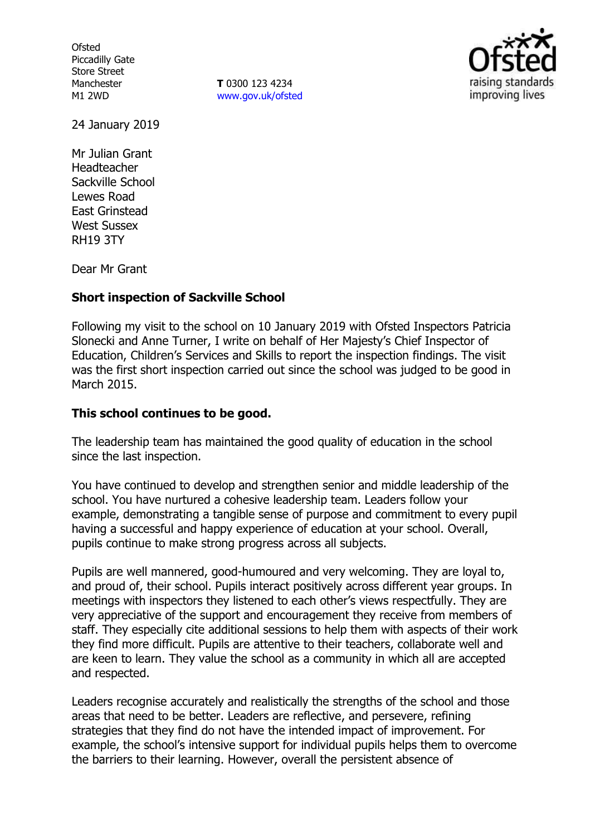**Ofsted** Piccadilly Gate Store Street Manchester M1 2WD

**T** 0300 123 4234 www.gov.uk/ofsted



24 January 2019

Mr Julian Grant Headteacher Sackville School Lewes Road East Grinstead West Sussex RH19 3TY

Dear Mr Grant

## **Short inspection of Sackville School**

Following my visit to the school on 10 January 2019 with Ofsted Inspectors Patricia Slonecki and Anne Turner, I write on behalf of Her Majesty's Chief Inspector of Education, Children's Services and Skills to report the inspection findings. The visit was the first short inspection carried out since the school was judged to be good in March 2015.

# **This school continues to be good.**

The leadership team has maintained the good quality of education in the school since the last inspection.

You have continued to develop and strengthen senior and middle leadership of the school. You have nurtured a cohesive leadership team. Leaders follow your example, demonstrating a tangible sense of purpose and commitment to every pupil having a successful and happy experience of education at your school. Overall, pupils continue to make strong progress across all subjects.

Pupils are well mannered, good-humoured and very welcoming. They are loyal to, and proud of, their school. Pupils interact positively across different year groups. In meetings with inspectors they listened to each other's views respectfully. They are very appreciative of the support and encouragement they receive from members of staff. They especially cite additional sessions to help them with aspects of their work they find more difficult. Pupils are attentive to their teachers, collaborate well and are keen to learn. They value the school as a community in which all are accepted and respected.

Leaders recognise accurately and realistically the strengths of the school and those areas that need to be better. Leaders are reflective, and persevere, refining strategies that they find do not have the intended impact of improvement. For example, the school's intensive support for individual pupils helps them to overcome the barriers to their learning. However, overall the persistent absence of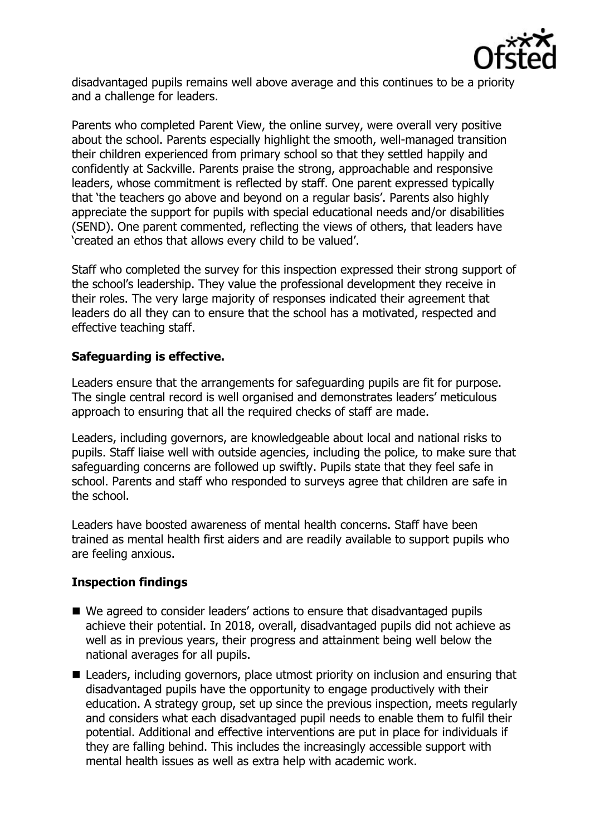

disadvantaged pupils remains well above average and this continues to be a priority and a challenge for leaders.

Parents who completed Parent View, the online survey, were overall very positive about the school. Parents especially highlight the smooth, well-managed transition their children experienced from primary school so that they settled happily and confidently at Sackville. Parents praise the strong, approachable and responsive leaders, whose commitment is reflected by staff. One parent expressed typically that 'the teachers go above and beyond on a regular basis'. Parents also highly appreciate the support for pupils with special educational needs and/or disabilities (SEND). One parent commented, reflecting the views of others, that leaders have 'created an ethos that allows every child to be valued'.

Staff who completed the survey for this inspection expressed their strong support of the school's leadership. They value the professional development they receive in their roles. The very large majority of responses indicated their agreement that leaders do all they can to ensure that the school has a motivated, respected and effective teaching staff.

# **Safeguarding is effective.**

Leaders ensure that the arrangements for safeguarding pupils are fit for purpose. The single central record is well organised and demonstrates leaders' meticulous approach to ensuring that all the required checks of staff are made.

Leaders, including governors, are knowledgeable about local and national risks to pupils. Staff liaise well with outside agencies, including the police, to make sure that safeguarding concerns are followed up swiftly. Pupils state that they feel safe in school. Parents and staff who responded to surveys agree that children are safe in the school.

Leaders have boosted awareness of mental health concerns. Staff have been trained as mental health first aiders and are readily available to support pupils who are feeling anxious.

# **Inspection findings**

- We agreed to consider leaders' actions to ensure that disadvantaged pupils achieve their potential. In 2018, overall, disadvantaged pupils did not achieve as well as in previous years, their progress and attainment being well below the national averages for all pupils.
- Leaders, including governors, place utmost priority on inclusion and ensuring that disadvantaged pupils have the opportunity to engage productively with their education. A strategy group, set up since the previous inspection, meets regularly and considers what each disadvantaged pupil needs to enable them to fulfil their potential. Additional and effective interventions are put in place for individuals if they are falling behind. This includes the increasingly accessible support with mental health issues as well as extra help with academic work.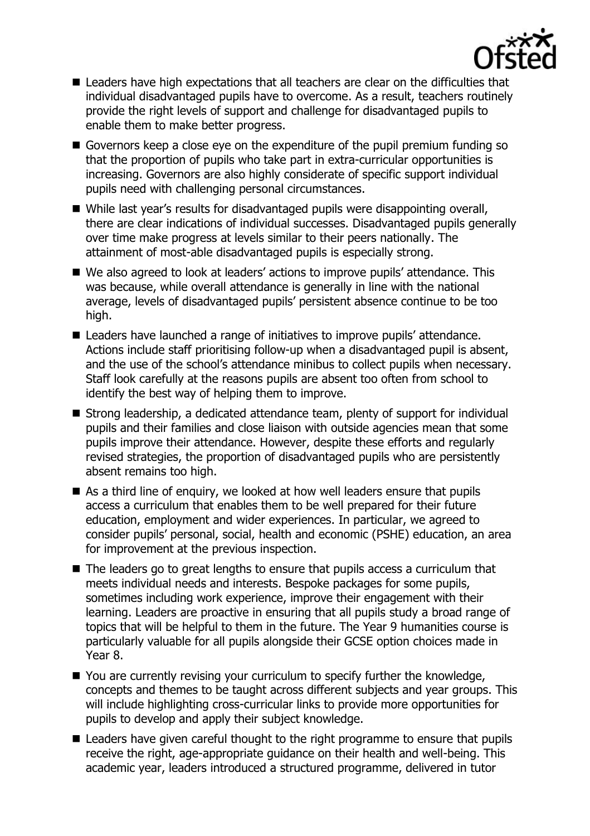

- Leaders have high expectations that all teachers are clear on the difficulties that individual disadvantaged pupils have to overcome. As a result, teachers routinely provide the right levels of support and challenge for disadvantaged pupils to enable them to make better progress.
- Governors keep a close eye on the expenditure of the pupil premium funding so that the proportion of pupils who take part in extra-curricular opportunities is increasing. Governors are also highly considerate of specific support individual pupils need with challenging personal circumstances.
- While last year's results for disadvantaged pupils were disappointing overall, there are clear indications of individual successes. Disadvantaged pupils generally over time make progress at levels similar to their peers nationally. The attainment of most-able disadvantaged pupils is especially strong.
- We also agreed to look at leaders' actions to improve pupils' attendance. This was because, while overall attendance is generally in line with the national average, levels of disadvantaged pupils' persistent absence continue to be too high.
- Leaders have launched a range of initiatives to improve pupils' attendance. Actions include staff prioritising follow-up when a disadvantaged pupil is absent, and the use of the school's attendance minibus to collect pupils when necessary. Staff look carefully at the reasons pupils are absent too often from school to identify the best way of helping them to improve.
- Strong leadership, a dedicated attendance team, plenty of support for individual pupils and their families and close liaison with outside agencies mean that some pupils improve their attendance. However, despite these efforts and regularly revised strategies, the proportion of disadvantaged pupils who are persistently absent remains too high.
- As a third line of enquiry, we looked at how well leaders ensure that pupils access a curriculum that enables them to be well prepared for their future education, employment and wider experiences. In particular, we agreed to consider pupils' personal, social, health and economic (PSHE) education, an area for improvement at the previous inspection.
- The leaders go to great lengths to ensure that pupils access a curriculum that meets individual needs and interests. Bespoke packages for some pupils, sometimes including work experience, improve their engagement with their learning. Leaders are proactive in ensuring that all pupils study a broad range of topics that will be helpful to them in the future. The Year 9 humanities course is particularly valuable for all pupils alongside their GCSE option choices made in Year 8.
- You are currently revising your curriculum to specify further the knowledge, concepts and themes to be taught across different subjects and year groups. This will include highlighting cross-curricular links to provide more opportunities for pupils to develop and apply their subject knowledge.
- Leaders have given careful thought to the right programme to ensure that pupils receive the right, age-appropriate guidance on their health and well-being. This academic year, leaders introduced a structured programme, delivered in tutor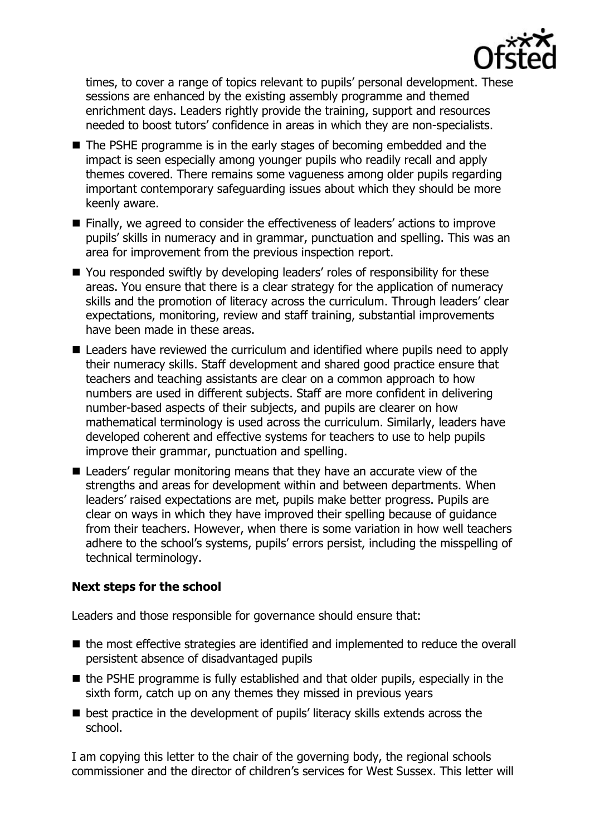

times, to cover a range of topics relevant to pupils' personal development. These sessions are enhanced by the existing assembly programme and themed enrichment days. Leaders rightly provide the training, support and resources needed to boost tutors' confidence in areas in which they are non-specialists.

- The PSHE programme is in the early stages of becoming embedded and the impact is seen especially among younger pupils who readily recall and apply themes covered. There remains some vagueness among older pupils regarding important contemporary safeguarding issues about which they should be more keenly aware.
- Finally, we agreed to consider the effectiveness of leaders' actions to improve pupils' skills in numeracy and in grammar, punctuation and spelling. This was an area for improvement from the previous inspection report.
- You responded swiftly by developing leaders' roles of responsibility for these areas. You ensure that there is a clear strategy for the application of numeracy skills and the promotion of literacy across the curriculum. Through leaders' clear expectations, monitoring, review and staff training, substantial improvements have been made in these areas.
- Leaders have reviewed the curriculum and identified where pupils need to apply their numeracy skills. Staff development and shared good practice ensure that teachers and teaching assistants are clear on a common approach to how numbers are used in different subjects. Staff are more confident in delivering number-based aspects of their subjects, and pupils are clearer on how mathematical terminology is used across the curriculum. Similarly, leaders have developed coherent and effective systems for teachers to use to help pupils improve their grammar, punctuation and spelling.
- Leaders' regular monitoring means that they have an accurate view of the strengths and areas for development within and between departments. When leaders' raised expectations are met, pupils make better progress. Pupils are clear on ways in which they have improved their spelling because of guidance from their teachers. However, when there is some variation in how well teachers adhere to the school's systems, pupils' errors persist, including the misspelling of technical terminology.

## **Next steps for the school**

Leaders and those responsible for governance should ensure that:

- the most effective strategies are identified and implemented to reduce the overall persistent absence of disadvantaged pupils
- $\blacksquare$  the PSHE programme is fully established and that older pupils, especially in the sixth form, catch up on any themes they missed in previous years
- **E** best practice in the development of pupils' literacy skills extends across the school.

I am copying this letter to the chair of the governing body, the regional schools commissioner and the director of children's services for West Sussex. This letter will